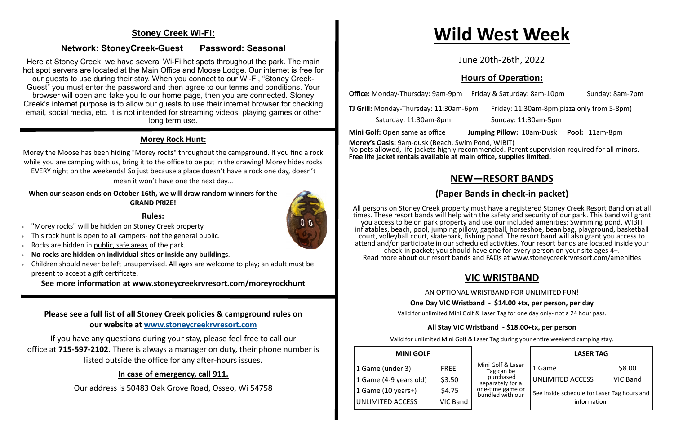#### **Stoney Creek Wi-Fi:**

#### **Network: StoneyCreek-Guest Password: Seasonal**

Here at Stoney Creek, we have several Wi-Fi hot spots throughout the park. The main hot spot servers are located at the Main Office and Moose Lodge. Our internet is free for our guests to use during their stay. When you connect to our Wi-Fi, "Stoney Creek-Guest" you must enter the password and then agree to our terms and conditions. Your browser will open and take you to our home page, then you are connected. Stoney Creek's internet purpose is to allow our guests to use their internet browser for checking email, social media, etc. It is not intended for streaming videos, playing games or other long term use.

#### **Morey Rock Hunt:**

- "Morey rocks" will be hidden on Stoney Creek property.
- This rock hunt is open to all campers- not the general public.
- Rocks are hidden in public, safe areas of the park.
- **No rocks are hidden on individual sites or inside any buildings**.
- Children should never be left unsupervised. All ages are welcome to play; an adult must be present to accept a gift certificate.

Morey the Moose has been hiding "Morey rocks" throughout the campground. If you find a rock while you are camping with us, bring it to the office to be put in the drawing! Morey hides rocks EVERY night on the weekends! So just because a place doesn't have a rock one day, doesn't mean it won't have one the next day…

#### **When our season ends on October 16th, we will draw random winners for the GRAND PRIZE!**

#### **Rules:**

**See more information at www.stoneycreekrvresort.com/moreyrockhunt**

#### **Please see a full list of all Stoney Creek policies & campground rules on our website at [www.stoneycreekrvresort.com](http://www.stoneycreekrvresort.com)**

If you have any questions during your stay, please feel free to call our office at **715-597-2102.** There is always a manager on duty, their phone number is listed outside the office for any after-hours issues.

#### **In case of emergency, call 911.**

Our address is 50483 Oak Grove Road, Osseo, Wi 54758

# **Wild West Week**

June 20th-26th, 2022

### **Hours of Operation:**

**Office:** Monday-Thursday: 9am-9pm Friday & Saturday: 8am-10pm Sunday: 8am-7pm

**TJ Grill:** Monday**-**Thursday: 11:30am-6pm Friday: 11:30am-8pm(pizza only from 5-8pm)

Saturday: 11:30am-8pm Sunday: 11:30am-5pm

**Mini Golf:** Open same as office **Jumping Pillow:** 10am-Dusk **Pool:** 11am-8pm

**Morey's Oasis:** 9am-dusk (Beach, Swim Pond, WIBIT) No pets allowed, life jackets highly recommended. Parent supervision required for all minors. **Free life jacket rentals available at main office, supplies limited.**

### **NEW—RESORT BANDS**

### **(Paper Bands in check-in packet)**

All persons on Stoney Creek property must have a registered Stoney Creek Resort Band on at all times. These resort bands will help with the safety and security of our park. This band will grant you access to be on park property and use our included amenities: Swimming pond, WIBIT inflatables, beach, pool, jumping pillow, gagaball, horseshoe, bean bag, playground, basketball court, volleyball court, skatepark, fishing pond. The resort band will also grant you access to attend and/or participate in our scheduled activities. Your resort bands are located inside your check-in packet; you should have one for every person on your site ages 4+. Read more about our resort bands and FAQs at www.stoneycreekrvresort.com/amenities

### **VIC WRISTBAND**

AN OPTIONAL WRISTBAND FOR UNLIMITED FUN!

#### **One Day VIC Wristband - \$14.00 +tx, per person, per day**

Valid for unlimited Mini Golf & Laser Tag for one day only- not a 24 hour pass.

#### **All Stay VIC Wristband - \$18.00+tx, per person**

Valid for unlimited Mini Golf & Laser Tag during your entire weekend camping stay.

| <b>MINI GOLF</b>        |             |
|-------------------------|-------------|
| 1 Game (under 3)        | <b>FREE</b> |
| 1 Game (4-9 years old)  | \$3.50      |
| 1 Game (10 years+)      | \$4.75      |
| <b>UNLIMITED ACCESS</b> | VIC Band    |



|                                      | <b>LASER TAG</b>        |                                                             |  |
|--------------------------------------|-------------------------|-------------------------------------------------------------|--|
| Mini Golf & Laser<br>Tag can be      | 1 Game                  | \$8.00                                                      |  |
| purchased<br>separately for a        | <b>UNLIMITED ACCESS</b> | <b>VIC Band</b>                                             |  |
| one-time game or<br>bundled with our |                         | See inside schedule for Laser Tag hours and<br>information. |  |